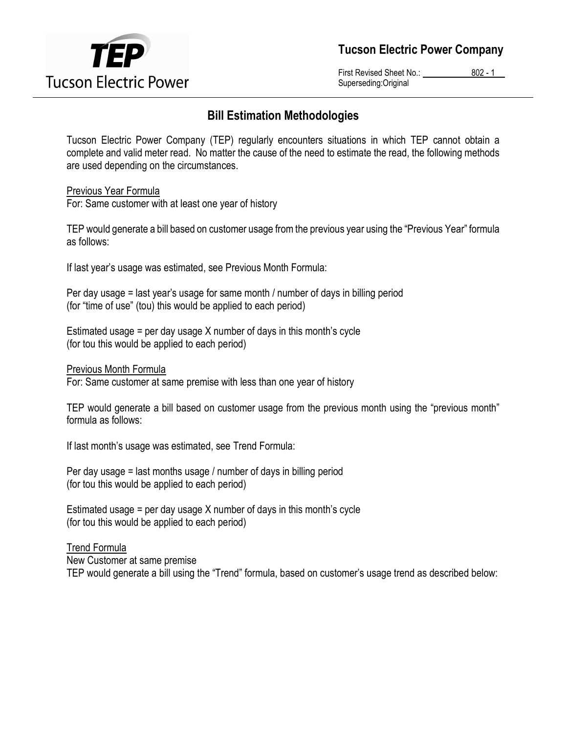

Tucson Electric Power Company

First Revised Sheet No.: 802 - 1 Superseding:Original

## Bill Estimation Methodologies

Tucson Electric Power Company (TEP) regularly encounters situations in which TEP cannot obtain a complete and valid meter read. No matter the cause of the need to estimate the read, the following methods are used depending on the circumstances.

Previous Year Formula

For: Same customer with at least one year of history

TEP would generate a bill based on customer usage from the previous year using the "Previous Year" formula as follows:

If last year's usage was estimated, see Previous Month Formula:

Per day usage = last year's usage for same month / number of days in billing period (for "time of use" (tou) this would be applied to each period)

Estimated usage = per day usage X number of days in this month's cycle (for tou this would be applied to each period)

Previous Month Formula

For: Same customer at same premise with less than one year of history

TEP would generate a bill based on customer usage from the previous month using the "previous month" formula as follows:

If last month's usage was estimated, see Trend Formula:

Per day usage = last months usage / number of days in billing period (for tou this would be applied to each period)

Estimated usage = per day usage X number of days in this month's cycle (for tou this would be applied to each period)

Trend Formula

New Customer at same premise

TEP would generate a bill using the "Trend" formula, based on customer's usage trend as described below: